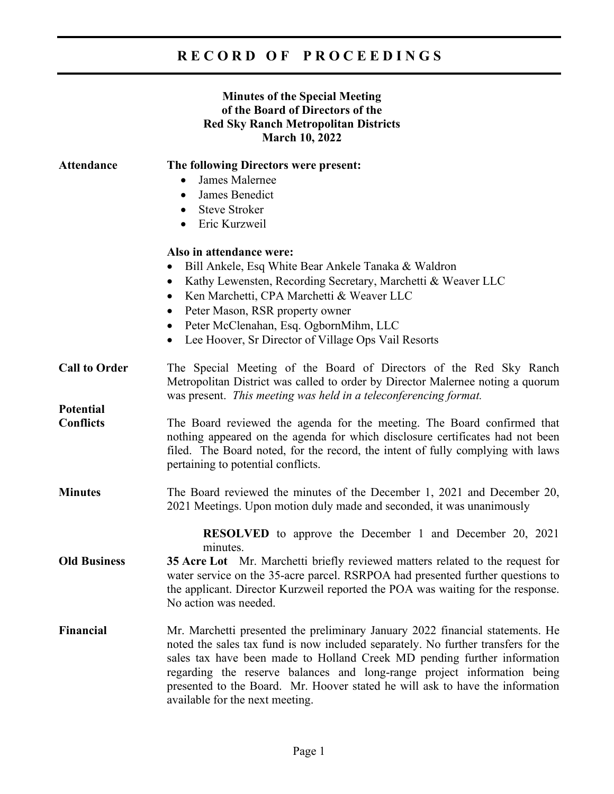## **R E C O R D O F P R O C E E D I N G S**

## **Minutes of the Special Meeting of the Board of Directors of the Red Sky Ranch Metropolitan Districts March 10, 2022**

| <b>Attendance</b>    | The following Directors were present:                                                                                                                                                                                                                                                                                                                                                                                                         |
|----------------------|-----------------------------------------------------------------------------------------------------------------------------------------------------------------------------------------------------------------------------------------------------------------------------------------------------------------------------------------------------------------------------------------------------------------------------------------------|
|                      | James Malernee<br>$\bullet$                                                                                                                                                                                                                                                                                                                                                                                                                   |
|                      | James Benedict<br>$\bullet$                                                                                                                                                                                                                                                                                                                                                                                                                   |
|                      | <b>Steve Stroker</b><br>$\bullet$                                                                                                                                                                                                                                                                                                                                                                                                             |
|                      | Eric Kurzweil<br>$\bullet$                                                                                                                                                                                                                                                                                                                                                                                                                    |
|                      | Also in attendance were:                                                                                                                                                                                                                                                                                                                                                                                                                      |
|                      | Bill Ankele, Esq White Bear Ankele Tanaka & Waldron<br>$\bullet$                                                                                                                                                                                                                                                                                                                                                                              |
|                      | Kathy Lewensten, Recording Secretary, Marchetti & Weaver LLC<br>$\bullet$                                                                                                                                                                                                                                                                                                                                                                     |
|                      | Ken Marchetti, CPA Marchetti & Weaver LLC<br>$\bullet$                                                                                                                                                                                                                                                                                                                                                                                        |
|                      | Peter Mason, RSR property owner<br>$\bullet$                                                                                                                                                                                                                                                                                                                                                                                                  |
|                      | Peter McClenahan, Esq. OgbornMihm, LLC<br>$\bullet$                                                                                                                                                                                                                                                                                                                                                                                           |
|                      | Lee Hoover, Sr Director of Village Ops Vail Resorts<br>$\bullet$                                                                                                                                                                                                                                                                                                                                                                              |
| <b>Call to Order</b> | The Special Meeting of the Board of Directors of the Red Sky Ranch<br>Metropolitan District was called to order by Director Malernee noting a quorum<br>was present. This meeting was held in a teleconferencing format.                                                                                                                                                                                                                      |
| <b>Potential</b>     |                                                                                                                                                                                                                                                                                                                                                                                                                                               |
| <b>Conflicts</b>     | The Board reviewed the agenda for the meeting. The Board confirmed that<br>nothing appeared on the agenda for which disclosure certificates had not been<br>filed. The Board noted, for the record, the intent of fully complying with laws<br>pertaining to potential conflicts.                                                                                                                                                             |
| <b>Minutes</b>       | The Board reviewed the minutes of the December 1, 2021 and December 20,<br>2021 Meetings. Upon motion duly made and seconded, it was unanimously                                                                                                                                                                                                                                                                                              |
|                      | <b>RESOLVED</b> to approve the December 1 and December 20, 2021                                                                                                                                                                                                                                                                                                                                                                               |
| <b>Old Business</b>  | minutes.<br><b>35 Acre Lot</b> Mr. Marchetti briefly reviewed matters related to the request for<br>water service on the 35-acre parcel. RSRPOA had presented further questions to<br>the applicant. Director Kurzweil reported the POA was waiting for the response.<br>No action was needed.                                                                                                                                                |
| <b>Financial</b>     | Mr. Marchetti presented the preliminary January 2022 financial statements. He<br>noted the sales tax fund is now included separately. No further transfers for the<br>sales tax have been made to Holland Creek MD pending further information<br>regarding the reserve balances and long-range project information being<br>presented to the Board. Mr. Hoover stated he will ask to have the information<br>available for the next meeting. |